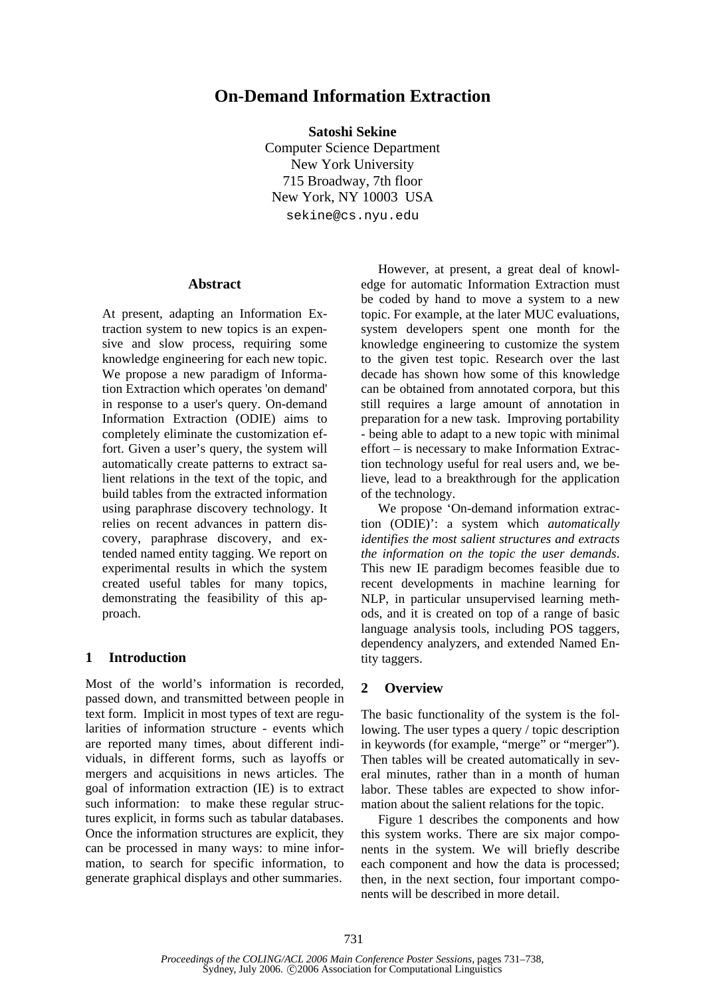# **On-Demand Information Extraction**

**Satoshi Sekine** 

Computer Science Department New York University 715 Broadway, 7th floor New York, NY 10003 USA sekine@cs.nyu.edu

### **Abstract**

At present, adapting an Information Extraction system to new topics is an expensive and slow process, requiring some knowledge engineering for each new topic. We propose a new paradigm of Information Extraction which operates 'on demand' in response to a user's query. On-demand Information Extraction (ODIE) aims to completely eliminate the customization effort. Given a user's query, the system will automatically create patterns to extract salient relations in the text of the topic, and build tables from the extracted information using paraphrase discovery technology. It relies on recent advances in pattern discovery, paraphrase discovery, and extended named entity tagging. We report on experimental results in which the system created useful tables for many topics, demonstrating the feasibility of this approach.

### **1 Introduction**

Most of the world's information is recorded, passed down, and transmitted between people in text form. Implicit in most types of text are regularities of information structure - events which are reported many times, about different individuals, in different forms, such as layoffs or mergers and acquisitions in news articles. The goal of information extraction (IE) is to extract such information: to make these regular structures explicit, in forms such as tabular databases. Once the information structures are explicit, they can be processed in many ways: to mine information, to search for specific information, to generate graphical displays and other summaries.

However, at present, a great deal of knowledge for automatic Information Extraction must be coded by hand to move a system to a new topic. For example, at the later MUC evaluations, system developers spent one month for the knowledge engineering to customize the system to the given test topic. Research over the last decade has shown how some of this knowledge can be obtained from annotated corpora, but this still requires a large amount of annotation in preparation for a new task. Improving portability - being able to adapt to a new topic with minimal effort – is necessary to make Information Extraction technology useful for real users and, we believe, lead to a breakthrough for the application of the technology.

We propose 'On-demand information extraction (ODIE)': a system which *automatically identifies the most salient structures and extracts the information on the topic the user demands*. This new IE paradigm becomes feasible due to recent developments in machine learning for NLP, in particular unsupervised learning methods, and it is created on top of a range of basic language analysis tools, including POS taggers, dependency analyzers, and extended Named Entity taggers.

### **2 Overview**

The basic functionality of the system is the following. The user types a query / topic description in keywords (for example, "merge" or "merger"). Then tables will be created automatically in several minutes, rather than in a month of human labor. These tables are expected to show information about the salient relations for the topic.

Figure 1 describes the components and how this system works. There are six major components in the system. We will briefly describe each component and how the data is processed; then, in the next section, four important components will be described in more detail.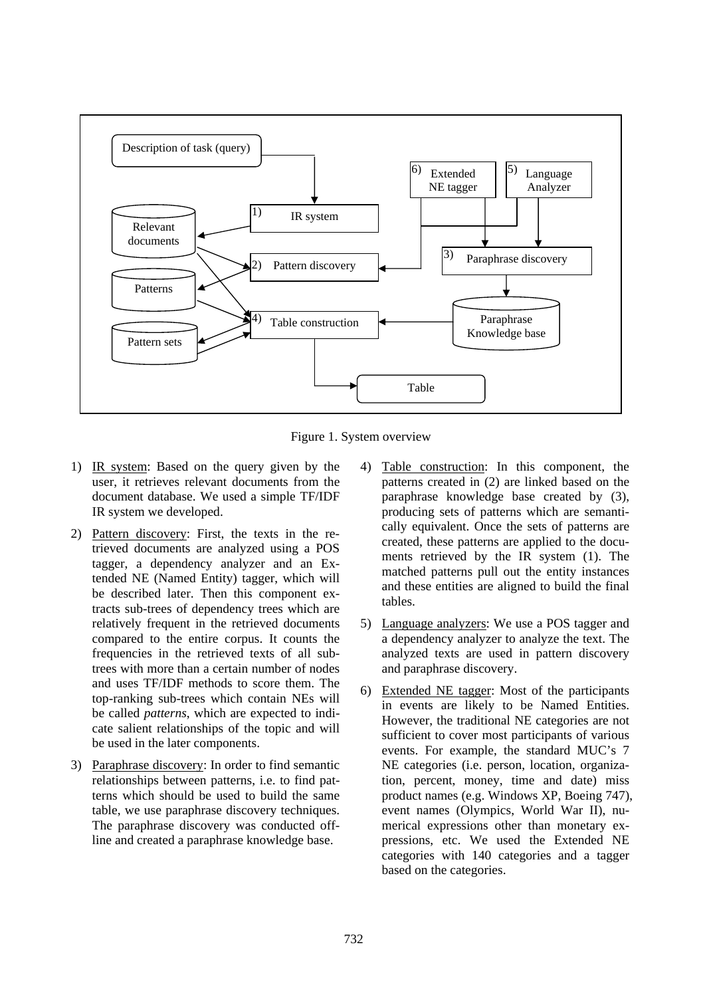

Figure 1. System overview

- 1) IR system: Based on the query given by the user, it retrieves relevant documents from the document database. We used a simple TF/IDF IR system we developed.
- 2) Pattern discovery: First, the texts in the retrieved documents are analyzed using a POS tagger, a dependency analyzer and an Extended NE (Named Entity) tagger, which will be described later. Then this component extracts sub-trees of dependency trees which are relatively frequent in the retrieved documents compared to the entire corpus. It counts the frequencies in the retrieved texts of all subtrees with more than a certain number of nodes and uses TF/IDF methods to score them. The top-ranking sub-trees which contain NEs will be called *patterns*, which are expected to indicate salient relationships of the topic and will be used in the later components.
- 3) Paraphrase discovery: In order to find semantic relationships between patterns, i.e. to find patterns which should be used to build the same table, we use paraphrase discovery techniques. The paraphrase discovery was conducted offline and created a paraphrase knowledge base.
- 4) Table construction: In this component, the patterns created in (2) are linked based on the paraphrase knowledge base created by (3), producing sets of patterns which are semantically equivalent. Once the sets of patterns are created, these patterns are applied to the documents retrieved by the IR system (1). The matched patterns pull out the entity instances and these entities are aligned to build the final tables.
- 5) Language analyzers: We use a POS tagger and a dependency analyzer to analyze the text. The analyzed texts are used in pattern discovery and paraphrase discovery.
- 6) Extended NE tagger: Most of the participants in events are likely to be Named Entities. However, the traditional NE categories are not sufficient to cover most participants of various events. For example, the standard MUC's 7 NE categories (i.e. person, location, organization, percent, money, time and date) miss product names (e.g. Windows XP, Boeing 747), event names (Olympics, World War II), numerical expressions other than monetary expressions, etc. We used the Extended NE categories with 140 categories and a tagger based on the categories.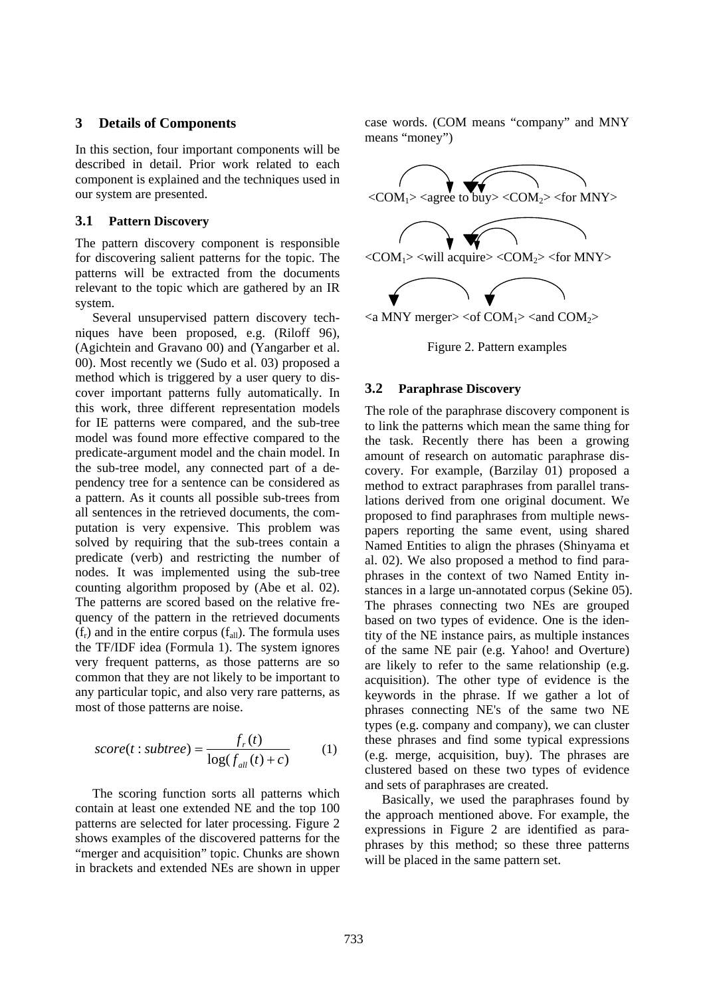### **3 Details of Components**

In this section, four important components will be described in detail. Prior work related to each component is explained and the techniques used in our system are presented.

#### **3.1 Pattern Discovery**

The pattern discovery component is responsible for discovering salient patterns for the topic. The patterns will be extracted from the documents relevant to the topic which are gathered by an IR system.

Several unsupervised pattern discovery techniques have been proposed, e.g. (Riloff 96), (Agichtein and Gravano 00) and (Yangarber et al. 00). Most recently we (Sudo et al. 03) proposed a method which is triggered by a user query to discover important patterns fully automatically. In this work, three different representation models for IE patterns were compared, and the sub-tree model was found more effective compared to the predicate-argument model and the chain model. In the sub-tree model, any connected part of a dependency tree for a sentence can be considered as a pattern. As it counts all possible sub-trees from all sentences in the retrieved documents, the computation is very expensive. This problem was solved by requiring that the sub-trees contain a predicate (verb) and restricting the number of nodes. It was implemented using the sub-tree counting algorithm proposed by (Abe et al. 02). The patterns are scored based on the relative frequency of the pattern in the retrieved documents  $(f_r)$  and in the entire corpus  $(f_{all})$ . The formula uses the TF/IDF idea (Formula 1). The system ignores very frequent patterns, as those patterns are so common that they are not likely to be important to any particular topic, and also very rare patterns, as most of those patterns are noise.

$$
score(t:subtree) = \frac{f_r(t)}{\log(f_{all}(t) + c)}
$$
(1)

The scoring function sorts all patterns which contain at least one extended NE and the top 100 patterns are selected for later processing. Figure 2 shows examples of the discovered patterns for the "merger and acquisition" topic. Chunks are shown in brackets and extended NEs are shown in upper case words. (COM means "company" and MNY means "money")



Figure 2. Pattern examples

#### **3.2 Paraphrase Discovery**

The role of the paraphrase discovery component is to link the patterns which mean the same thing for the task. Recently there has been a growing amount of research on automatic paraphrase discovery. For example, (Barzilay 01) proposed a method to extract paraphrases from parallel translations derived from one original document. We proposed to find paraphrases from multiple newspapers reporting the same event, using shared Named Entities to align the phrases (Shinyama et al. 02). We also proposed a method to find paraphrases in the context of two Named Entity instances in a large un-annotated corpus (Sekine 05). The phrases connecting two NEs are grouped based on two types of evidence. One is the identity of the NE instance pairs, as multiple instances of the same NE pair (e.g. Yahoo! and Overture) are likely to refer to the same relationship (e.g. acquisition). The other type of evidence is the keywords in the phrase. If we gather a lot of phrases connecting NE's of the same two NE types (e.g. company and company), we can cluster these phrases and find some typical expressions (e.g. merge, acquisition, buy). The phrases are clustered based on these two types of evidence and sets of paraphrases are created.

Basically, we used the paraphrases found by the approach mentioned above. For example, the expressions in Figure 2 are identified as paraphrases by this method; so these three patterns will be placed in the same pattern set.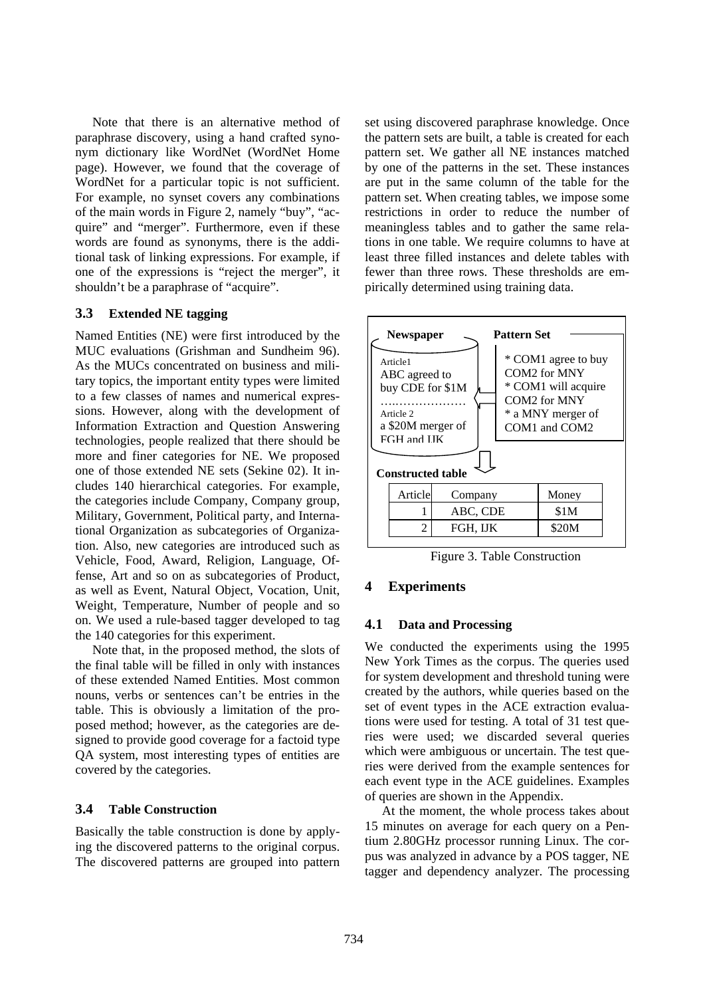Note that there is an alternative method of paraphrase discovery, using a hand crafted synonym dictionary like WordNet (WordNet Home page). However, we found that the coverage of WordNet for a particular topic is not sufficient. For example, no synset covers any combinations of the main words in Figure 2, namely "buy", "acquire" and "merger". Furthermore, even if these words are found as synonyms, there is the additional task of linking expressions. For example, if one of the expressions is "reject the merger", it shouldn't be a paraphrase of "acquire".

### **3.3 Extended NE tagging**

Named Entities (NE) were first introduced by the MUC evaluations (Grishman and Sundheim 96). As the MUCs concentrated on business and military topics, the important entity types were limited to a few classes of names and numerical expressions. However, along with the development of Information Extraction and Question Answering technologies, people realized that there should be more and finer categories for NE. We proposed one of those extended NE sets (Sekine 02). It includes 140 hierarchical categories. For example, the categories include Company, Company group, Military, Government, Political party, and International Organization as subcategories of Organization. Also, new categories are introduced such as Vehicle, Food, Award, Religion, Language, Offense, Art and so on as subcategories of Product, as well as Event, Natural Object, Vocation, Unit, Weight, Temperature, Number of people and so on. We used a rule-based tagger developed to tag the 140 categories for this experiment.

Note that, in the proposed method, the slots of the final table will be filled in only with instances of these extended Named Entities. Most common nouns, verbs or sentences can't be entries in the table. This is obviously a limitation of the proposed method; however, as the categories are designed to provide good coverage for a factoid type QA system, most interesting types of entities are covered by the categories.

### **3.4 Table Construction**

Basically the table construction is done by applying the discovered patterns to the original corpus. The discovered patterns are grouped into pattern set using discovered paraphrase knowledge. Once the pattern sets are built, a table is created for each pattern set. We gather all NE instances matched by one of the patterns in the set. These instances are put in the same column of the table for the pattern set. When creating tables, we impose some restrictions in order to reduce the number of meaningless tables and to gather the same relations in one table. We require columns to have at least three filled instances and delete tables with fewer than three rows. These thresholds are empirically determined using training data.



Figure 3. Table Construction

### **4 Experiments**

#### **4.1 Data and Processing**

each event type in the ACE guidelines. Examples of queries are shown in the Appendix. We conducted the experiments using the 1995 New York Times as the corpus. The queries used for system development and threshold tuning were created by the authors, while queries based on the set of event types in the ACE extraction evaluations were used for testing. A total of 31 test queries were used; we discarded several queries which were ambiguous or uncertain. The test queries were derived from the example sentences for

At the moment, the whole process takes about 15 minutes on average for each query on a Pentium 2.80GHz processor running Linux. The corpus was analyzed in advance by a POS tagger, NE tagger and dependency analyzer. The processing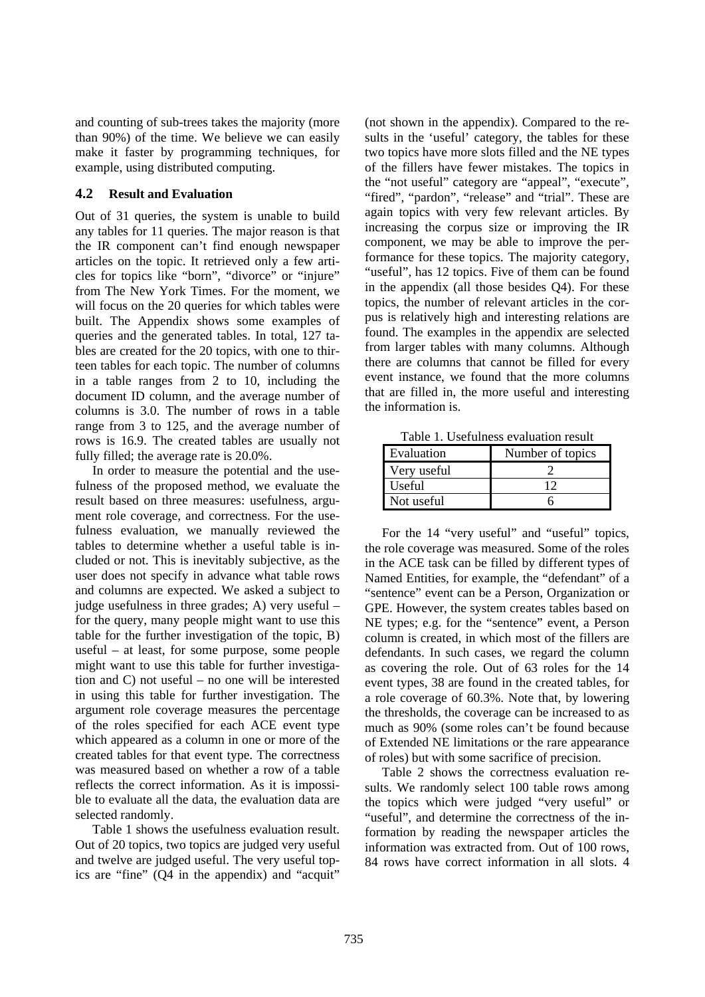and counting of sub-trees takes the majority (more than 90%) of the time. We believe we can easily make it faster by programming techniques, for example, using distributed computing.

## **4.2 Result and Evaluation**

rows is 16.9. The created tables are usually not full y filled; the average rate is 20.0%. Out of 31 queries, the system is unable to build any tables for 11 queries. The major reason is that the IR component can't find enough newspaper articles on the topic. It retrieved only a few articles for topics like "born", "divorce" or "injure" from The New York Times. For the moment, we will focus on the 20 queries for which tables were built. The Appendix shows some examples of queries and the generated tables. In total, 127 tables are created for the 20 topics, with one to thirteen tables for each topic. The number of columns in a table ranges from 2 to 10, including the document ID column, and the average number of columns is 3.0. The number of rows in a table range from 3 to 125, and the average number of

ble to evaluate all the data, the evaluation data are sel ected randomly. In order to measure the potential and the usefulness of the proposed method, we evaluate the result based on three measures: usefulness, argument role coverage, and correctness. For the usefulness evaluation, we manually reviewed the tables to determine whether a useful table is included or not. This is inevitably subjective, as the user does not specify in advance what table rows and columns are expected. We asked a subject to judge usefulness in three grades; A) very useful – for the query, many people might want to use this table for the further investigation of the topic, B) useful – at least, for some purpose, some people might want to use this table for further investigation and C) not useful – no one will be interested in using this table for further investigation. The argument role coverage measures the percentage of the roles specified for each ACE event type which appeared as a column in one or more of the created tables for that event type. The correctness was measured based on whether a row of a table reflects the correct information. As it is impossi-

Table 1 shows the usefulness evaluation result. Out of 20 topics, two topics are judged very useful and twelve are judged useful. The very useful topics are "fine" (Q4 in the appendix) and "acquit"

that are filled in, the more useful and interesting the information is. (not shown in the appendix). Compared to the results in the 'useful' category, the tables for these two topics have more slots filled and the NE types of the fillers have fewer mistakes. The topics in the "not useful" category are "appeal", "execute", "fired", "pardon", "release" and "trial". These are again topics with very few relevant articles. By increasing the corpus size or improving the IR component, we may be able to improve the performance for these topics. The majority category, "useful", has 12 topics. Five of them can be found in the appendix (all those besides Q4). For these topics, the number of relevant articles in the corpus is relatively high and interesting relations are found. The examples in the appendix are selected from larger tables with many columns. Although there are columns that cannot be filled for every event instance, we found that the more columns

Table 1. Usefulness evaluation result

| Evaluation  | Number of topics |
|-------------|------------------|
| Very useful |                  |
| Useful      |                  |
| Not useful  |                  |

For the 14 "very useful" and "useful" topics, the role coverage was measured. Some of the roles in the ACE task can be filled by different types of Named Entities, for example, the "defendant" of a "sentence" event can be a Person, Organization or GPE. However, the system creates tables based on NE types; e.g. for the "sentence" event, a Person column is created, in which most of the fillers are defendants. In such cases, we regard the column as covering the role. Out of 63 roles for the 14 event types, 38 are found in the created tables, for a role coverage of 60.3%. Note that, by lowering the thresholds, the coverage can be increased to as much as 90% (some roles can't be found because of Extended NE limitations or the rare appearance of roles) but with some sacrifice of precision.

Table 2 shows the correctness evaluation results. We randomly select 100 table rows among the topics which were judged "very useful" or "useful", and determine the correctness of the information by reading the newspaper articles the information was extracted from. Out of 100 rows, 84 rows have correct information in all slots. 4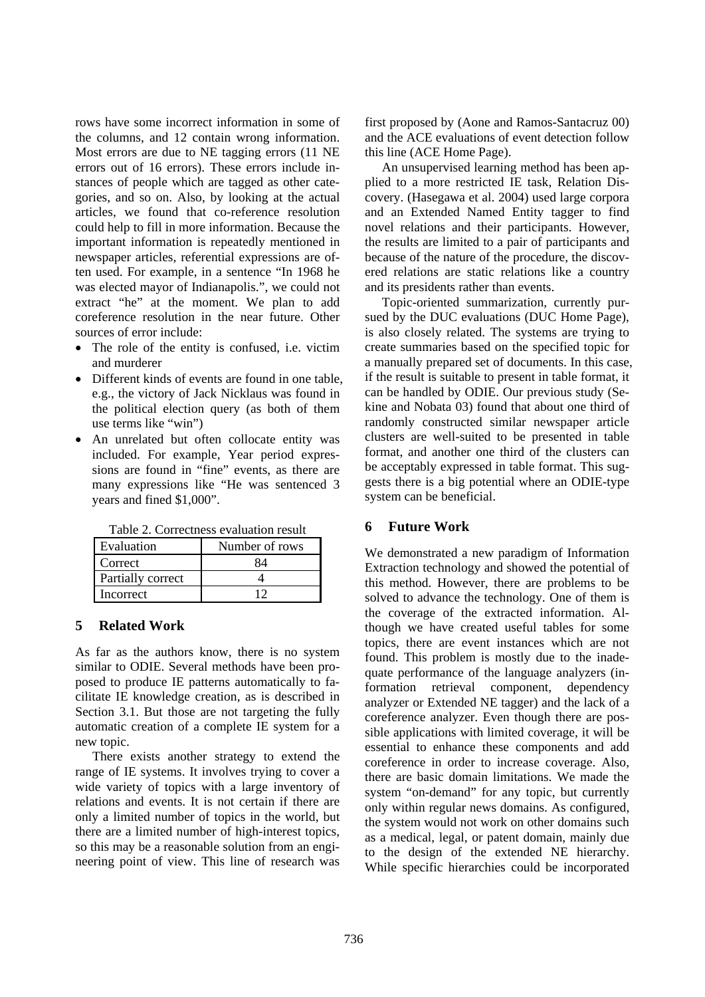rows have some incorrect information in some of the columns, and 12 contain wrong information. Most errors are due to NE tagging errors (11 NE errors out of 16 errors). These errors include instances of people which are tagged as other categories, and so on. Also, by looking at the actual articles, we found that co-reference resolution could help to fill in more information. Because the important information is repeatedly mentioned in newspaper articles, referential expressions are often used. For example, in a sentence "In 1968 he was elected mayor of Indianapolis.", we could not extract "he" at the moment. We plan to add coreference resolution in the near future. Other sources of error include:

- The role of the entity is confused, i.e. victim and murderer
- Different kinds of events are found in one table, the political election query (as both of them e.g., the victory of Jack Nicklaus was found in use terms like "win")
- An unrelated but often collocate entity was many expressions like "He was sentenced 3 years and fined \$1,000". included. For example, Year period expressions are found in "fine" events, as there are

| 1 acie <i>=</i> . Contecutos c anauton resum |                |  |
|----------------------------------------------|----------------|--|
| Evaluation                                   | Number of rows |  |
| Correct                                      |                |  |
| Partially correct                            |                |  |
| Incorrect                                    |                |  |

Table 2. Correctness evaluation result

# **5 Related Work**

As far as the authors know, there is no system similar to ODIE. Several methods have been proposed to produce IE patterns automatically to facilitate IE knowledge creation, as is described in Section 3.1. But those are not targeting the fully automatic creation of a complete IE system for a new topic.

There exists another strategy to extend the range of IE systems. It involves trying to cover a wide variety of topics with a large inventory of relations and events. It is not certain if there are only a limited number of topics in the world, but there are a limited number of high-interest topics, so this may be a reasonable solution from an engineering point of view. This line of research was

and the ACE evaluations of event detection follow thi s line (ACE Home Page). first proposed by (Aone and Ramos-Santacruz 00)

ered relations are static relations like a country and its presidents rather than events. An unsupervised learning method has been applied to a more restricted IE task, Relation Discovery. (Hasegawa et al. 2004) used large corpora and an Extended Named Entity tagger to find novel relations and their participants. However, the results are limited to a pair of participants and because of the nature of the procedure, the discov-

gests there is a big potential where an ODIE-type system can be beneficial. Topic-oriented summarization, currently pursued by the DUC evaluations (DUC Home Page), is also closely related. The systems are trying to create summaries based on the specified topic for a manually prepared set of documents. In this case, if the result is suitable to present in table format, it can be handled by ODIE. Our previous study (Sekine and Nobata 03) found that about one third of randomly constructed similar newspaper article clusters are well-suited to be presented in table format, and another one third of the clusters can be acceptably expressed in table format. This sug-

# **6 Future Work**

We demonstrated a new paradigm of Information Extraction technology and showed the potential of this method. However, there are problems to be solved to advance the technology. One of them is the coverage of the extracted information. Although we have created useful tables for some topics, there are event instances which are not found. This problem is mostly due to the inadequate performance of the language analyzers (information retrieval component, dependency analyzer or Extended NE tagger) and the lack of a coreference analyzer. Even though there are possible applications with limited coverage, it will be essential to enhance these components and add coreference in order to increase coverage. Also, there are basic domain limitations. We made the system "on-demand" for any topic, but currently only within regular news domains. As configured, the system would not work on other domains such as a medical, legal, or patent domain, mainly due to the design of the extended NE hierarchy. While specific hierarchies could be incorporated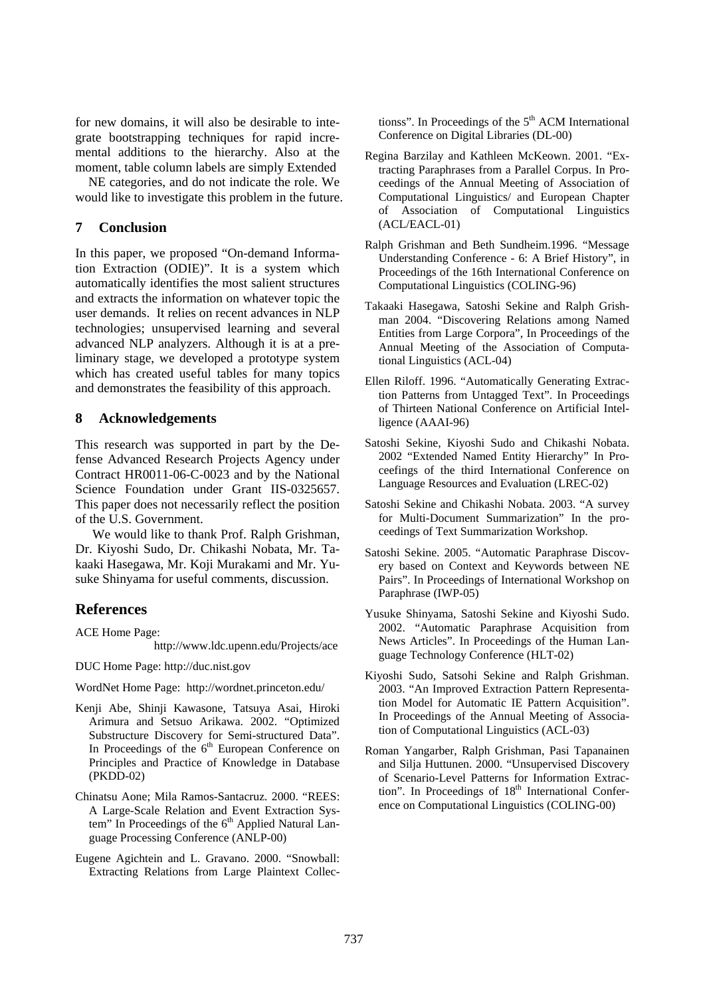for new domains, it will also be desirable to integrate bootstrapping techniques for rapid incremental additions to the hierarchy. Also at the moment, table column labels are simply Extended

would like to investigate this problem in the future. NE categories, and do not indicate the role. We

# **7 Conclusion**

and demonstrates the feasibility of this approach. In this paper, we proposed "On-demand Information Extraction (ODIE)". It is a system which automatically identifies the most salient structures and extracts the information on whatever topic the user demands. It relies on recent advances in NLP technologies; unsupervised learning and several advanced NLP analyzers. Although it is at a preliminary stage, we developed a prototype system which has created useful tables for many topics

# **8 Acknowledgements**

This paper does not necessarily reflect the position of the U.S. Government. This research was supported in part by the Defense Advanced Research Projects Agency under Contract HR0011-06-C-0023 and by the National Science Foundation under Grant IIS-0325657.

- kaaki Hasegawa, Mr. Koji Murakami and Mr. Yu suke Shinyama for useful comments, discussion. We would like to thank Prof. Ralph Grishman, Dr. Kiyoshi Sudo, Dr. Chikashi Nobata, Mr. Ta-

# **References**

ACE Home Pag e:

http://www.ldc.upenn.edu/Projects/ace

DUC Home Page: http://duc.nist.gov

WordNet Home Page: http://wordnet.princeton.edu/

- Ke nji Abe, Shinji Kawasone, Tatsuya Asai, Hiroki Principles and Practice of Knowledge in Database Arimura and Setsuo Arikawa. 2002. "Optimized Substructure Discovery for Semi-structured Data". In Proceedings of the  $6<sup>th</sup>$  European Conference on (PKDD-02)
- Ch inatsu Aone; Mila Ramos-Santacruz. 2000. "REES: tem" In Proceedings of the 6<sup>th</sup> Applied Natural Lan-A Large-Scale Relation and Event Extraction Sysguage Processing Conference (ANLP-00)
- Eu gene Agichtein and L. Gravano. 2000. "Snowball: Extracting Relations from Large Plaintext Collec-

tionss". In Proceedings of the  $5<sup>th</sup>$  ACM International Conference on Digital Libraries (DL-00)

- Regina Barzilay and Kathleen McKeown. 2001. "Extracting Paraphrases from a Parallel Corpus. In Proceedings of the Annual Meeting of Association of Computational Linguistics/ and European Chapter of Association of Computational Linguistics (ACL/EACL-01)
- Ralph Grishman and Beth Sundheim.1996. "Message Understanding Conference - 6: A Brief History", in Proceedings of the 16th International Conference on Computational Linguistics (COLING-96)
- Takaaki Hasegawa, Satoshi Sekine and Ralph Grishman 2004. "Discovering Relations among Named Entities from Large Corpora", In Proceedings of the Annual Meeting of the Association of Computational Linguistics (ACL-04)
- Ellen Riloff. 1996. "Automatically Generating Extraction Patterns from Untagged Text". In Proceedings of Thirteen National Conference on Artificial Intelligence (AAAI-96)
- Satoshi Sekine, Kiyoshi Sudo and Chikashi Nobata. 2002 "Extended Named Entity Hierarchy" In Proceefings of the third International Conference on Language Resources and Evaluation (LREC-02)
- Satoshi Sekine and Chikashi Nobata. 2003. "A survey for Multi-Document Summarization" In the proceedings of Text Summarization Workshop.
- Satoshi Sekine. 2005. "Automatic Paraphrase Discovery based on Context and Keywords between NE Pairs". In Proceedings of International Workshop on Paraphrase (IWP-05)
- Yusuke Shinyama, Satoshi Sekine and Kiyoshi Sudo. 2002. "Automatic Paraphrase Acquisition from News Articles". In Proceedings of the Human Language Technology Conference (HLT-02)
- Kiyoshi Sudo, Satsohi Sekine and Ralph Grishman. 2003. "An Improved Extraction Pattern Representation Model for Automatic IE Pattern Acquisition". In Proceedings of the Annual Meeting of Association of Computational Linguistics (ACL-03)
- Roman Yangarber, Ralph Grishman, Pasi Tapanainen and Silja Huttunen. 2000. "Unsupervised Discovery of Scenario-Level Patterns for Information Extraction". In Proceedings of 18<sup>th</sup> International Conference on Computational Linguistics (COLING-00)